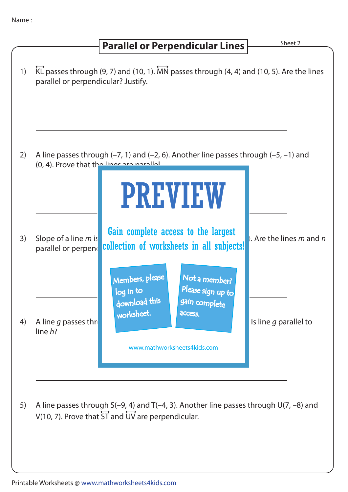## 1) 2) A line passes through  $(-7, 1)$  and  $(-2, 6)$ . Another line passes through  $(-5, -1)$  and (0, 4). Prove that the lines are parallel. 3) Slope of a line m is **the unit completed doors** to the hargest (1, Are the lines m and n parallel or perpender collection of worksheets in all subjects! 4) A line g passes through (3) and (8, 6). Since  $q$  parallel to line h? **Parallel or Perpendicular Lines Parallel or Perpendicular Lines**  $\overleftrightarrow{KL}$  passes through (9, 7) and (10, 1).  $\overleftrightarrow{MN}$  passes through (4, 4) and (10, 5). Are the lines parallel or perpendicular? Justify. PREVIEW www.mathworksheets4kids.com Members, please download this worksheet. log in to Not a member? gain complete Please sign up to **access** Gain complete access to the largest

5) A line passes through S(–9, 4) and T(–4, 3). Another line passes through U(7, –8) and V(10, 7). Prove that ST and UV are perpendicular.